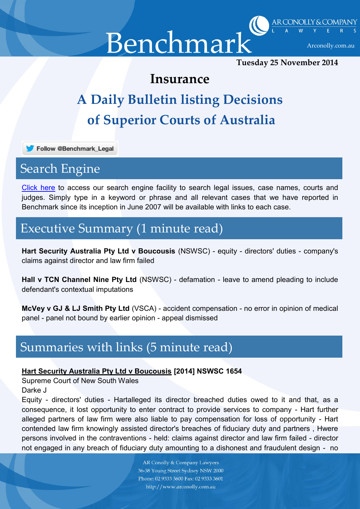Benchmark Arconolly.com.au



**Tuesday 25 November 2014**

### **Insurance**

# **A Daily Bulletin listing Decisions of Superior Courts of Australia**

Follow @Benchmark\_Legal

# Search Engine

[Click](http://benchmarkinc.com.au/archive.php) here to access our search engine facility to search legal issues, case names, courts and judges. Simply type in a keyword or phrase and all relevant cases that we have reported in Benchmark since its inception in June 2007 will be available with links to each case.

# Executive Summary (1 minute read)

**Hart Security Australia Pty Ltd v Boucousis** (NSWSC) - equity - directors' duties - company's claims against director and law firm failed

**Hall v TCN Channel Nine Pty Ltd** (NSWSC) - defamation - leave to amend pleading to include defendant's contextual imputations

**McVey v GJ & LJ Smith Pty Ltd** (VSCA) - accident compensation - no error in opinion of medical panel - panel not bound by earlier opinion - appeal dismissed

# Summaries with links (5 minute read)

#### **Hart Security Australia Pty Ltd v Boucousis [2014] NSWSC 1654**

Supreme Court of New South Wales

Darke J

Equity - directors' duties - Hartalleged its director breached duties owed to it and that, as a consequence, it lost opportunity to enter contract to provide services to company - Hart further alleged partners of law firm were also liable to pay compensation for loss of opportunity - Hart contended law firm knowingly assisted director's breaches of fiduciary duty and partners , Hwere persons involved in the contraventions - held: claims against director and law firm failed - director not engaged in any breach of fiduciary duty amounting to a dishonest and fraudulent design - no

> **AR Conolly & Company Lawyers** 36-38 Young Street Sydney NSW 2000 Phone: 02 9333 3600 Fax: 02 9333 3601 http://www.arconolly.com.au